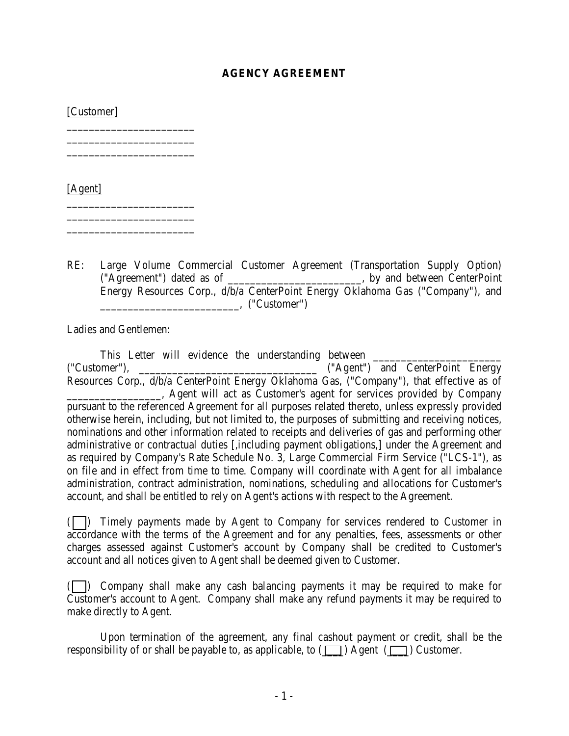## **AGENCY AGREEMENT**

[Customer]

\_\_\_\_\_\_\_\_\_\_\_\_\_\_\_\_\_\_\_\_\_\_\_ \_\_\_\_\_\_\_\_\_\_\_\_\_\_\_\_\_\_\_\_\_\_\_ \_\_\_\_\_\_\_\_\_\_\_\_\_\_\_\_\_\_\_\_\_\_\_

\_\_\_\_\_\_\_\_\_\_\_\_\_\_\_\_\_\_\_\_\_\_\_ \_\_\_\_\_\_\_\_\_\_\_\_\_\_\_\_\_\_\_\_\_\_\_

[Agent] \_\_\_\_\_\_\_\_\_\_\_\_\_\_\_\_\_\_\_\_\_\_\_

RE: Large Volume Commercial Customer Agreement (Transportation Supply Option) ("Agreement") dated as of \_\_\_\_\_\_\_\_\_\_\_\_\_\_\_\_\_\_\_\_\_\_\_\_, by and between CenterPoint Energy Resources Corp., d/b/a CenterPoint Energy Oklahoma Gas ("Company"), and \_\_\_\_\_\_\_\_\_\_\_\_\_\_\_\_\_\_\_\_\_\_\_\_\_, ("Customer")

Ladies and Gentlemen:

This Letter will evidence the understanding between ("Customer"), \_\_\_\_\_\_\_\_\_\_\_\_\_\_\_\_\_\_\_\_\_\_\_\_\_\_\_\_\_\_\_\_ ("Agent") and CenterPoint Energy Resources Corp., d/b/a CenterPoint Energy Oklahoma Gas, ("Company"), that effective as of \_\_\_\_\_\_\_\_\_\_\_\_\_\_\_\_\_, Agent will act as Customer's agent for services provided by Company pursuant to the referenced Agreement for all purposes related thereto, unless expressly provided otherwise herein, including, but not limited to, the purposes of submitting and receiving notices, nominations and other information related to receipts and deliveries of gas and performing other administrative or contractual duties [,including payment obligations,] under the Agreement and as required by Company's Rate Schedule No. 3, Large Commercial Firm Service ("LCS-1"), as on file and in effect from time to time. Company will coordinate with Agent for all imbalance administration, contract administration, nominations, scheduling and allocations for Customer's account, and shall be entitled to rely on Agent's actions with respect to the Agreement.

( ) Timely payments made by Agent to Company for services rendered to Customer in accordance with the terms of the Agreement and for any penalties, fees, assessments or other charges assessed against Customer's account by Company shall be credited to Customer's account and all notices given to Agent shall be deemed given to Customer.

( ) Company shall make any cash balancing payments it may be required to make for Customer's account to Agent. Company shall make any refund payments it may be required to make directly to Agent.

Upon termination of the agreement, any final cashout payment or credit, shall be the responsibility of or shall be payable to, as applicable, to  $(\Box)$  Agent  $(\Box)$  Customer.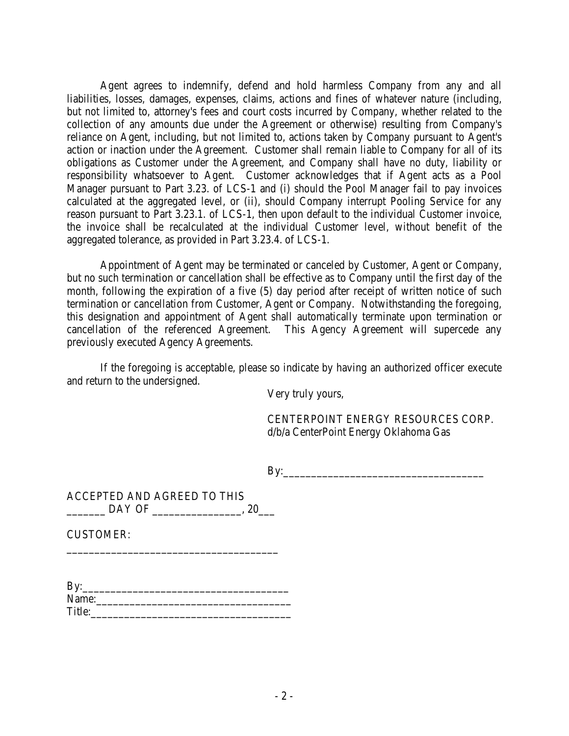Agent agrees to indemnify, defend and hold harmless Company from any and all liabilities, losses, damages, expenses, claims, actions and fines of whatever nature (including, but not limited to, attorney's fees and court costs incurred by Company, whether related to the collection of any amounts due under the Agreement or otherwise) resulting from Company's reliance on Agent, including, but not limited to, actions taken by Company pursuant to Agent's action or inaction under the Agreement. Customer shall remain liable to Company for all of its obligations as Customer under the Agreement, and Company shall have no duty, liability or responsibility whatsoever to Agent. Customer acknowledges that if Agent acts as a Pool Manager pursuant to Part 3.23. of LCS-1 and (i) should the Pool Manager fail to pay invoices calculated at the aggregated level, or (ii), should Company interrupt Pooling Service for any reason pursuant to Part 3.23.1. of LCS-1, then upon default to the individual Customer invoice, the invoice shall be recalculated at the individual Customer level, without benefit of the aggregated tolerance, as provided in Part 3.23.4. of LCS-1.

Appointment of Agent may be terminated or canceled by Customer, Agent or Company, but no such termination or cancellation shall be effective as to Company until the first day of the month, following the expiration of a five (5) day period after receipt of written notice of such termination or cancellation from Customer, Agent or Company. Notwithstanding the foregoing, this designation and appointment of Agent shall automatically terminate upon termination or cancellation of the referenced Agreement. This Agency Agreement will supercede any previously executed Agency Agreements.

If the foregoing is acceptable, please so indicate by having an authorized officer execute and return to the undersigned.

Very truly yours,

CENTERPOINT ENERGY RESOURCES CORP. d/b/a CenterPoint Energy Oklahoma Gas

By:\_\_\_\_\_\_\_\_\_\_\_\_\_\_\_\_\_\_\_\_\_\_\_\_\_\_\_\_\_\_\_\_\_\_\_\_

| ACCEPTED AND AGREED TO THIS |  |
|-----------------------------|--|
| DAY OF                      |  |

\_\_\_\_\_\_\_\_\_\_\_\_\_\_\_\_\_\_\_\_\_\_\_\_\_\_\_\_\_\_\_\_\_\_\_\_\_\_

CUSTOMER:

| By:    |  |  |  |
|--------|--|--|--|
| Name:  |  |  |  |
| Title: |  |  |  |